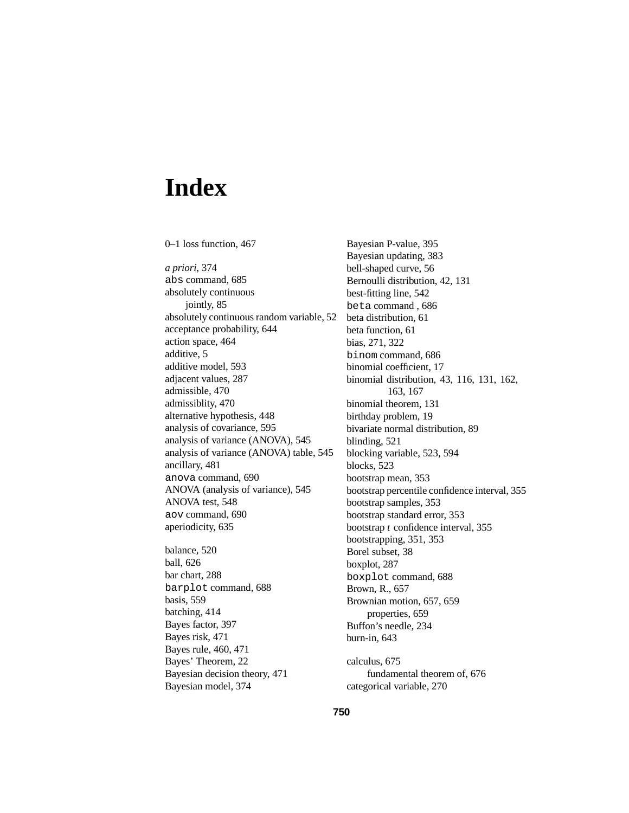# **Index**

0–1 loss function, 467 *a priori*, 374 abs command, 685 absolutely continuous jointly, 85 absolutely continuous random variable, 52 acceptance probability, 644 action space, 464 additive, 5 additive model, 593 adjacent values, 287 admissible, 470 admissiblity, 470 alternative hypothesis, 448 analysis of covariance, 595 analysis of variance (ANOVA), 545 analysis of variance (ANOVA) table, 545 ancillary, 481 anova command, 690 ANOVA (analysis of variance), 545 ANOVA test, 548 aov command, 690 aperiodicity, 635 balance, 520 ball, 626 bar chart, 288 barplot command, 688 basis, 559 batching, 414 Bayes factor, 397 Bayes risk, 471 Bayes rule, 460, 471 Bayes' Theorem, 22 Bayesian decision theory, 471

Bayesian model, 374

Bayesian P-value, 395 Bayesian updating, 383 bell-shaped curve, 56 Bernoulli distribution, 42, 131 best-fitting line, 542 beta command , 686 beta distribution, 61 beta function, 61 bias, 271, 322 binom command, 686 binomial coefficient, 17 binomial distribution, 43, 116, 131, 162, 163, 167 binomial theorem, 131 birthday problem, 19 bivariate normal distribution, 89 blinding, 521 blocking variable, 523, 594 blocks, 523 bootstrap mean, 353 bootstrap percentile confidence interval, 355 bootstrap samples, 353 bootstrap standard error, 353 bootstrap *t* confidence interval, 355 bootstrapping, 351, 353 Borel subset, 38 boxplot, 287 boxplot command, 688 Brown, R., 657 Brownian motion, 657, 659 properties, 659 Buffon's needle, 234 burn-in, 643 calculus, 675 fundamental theorem of, 676

categorical variable, 270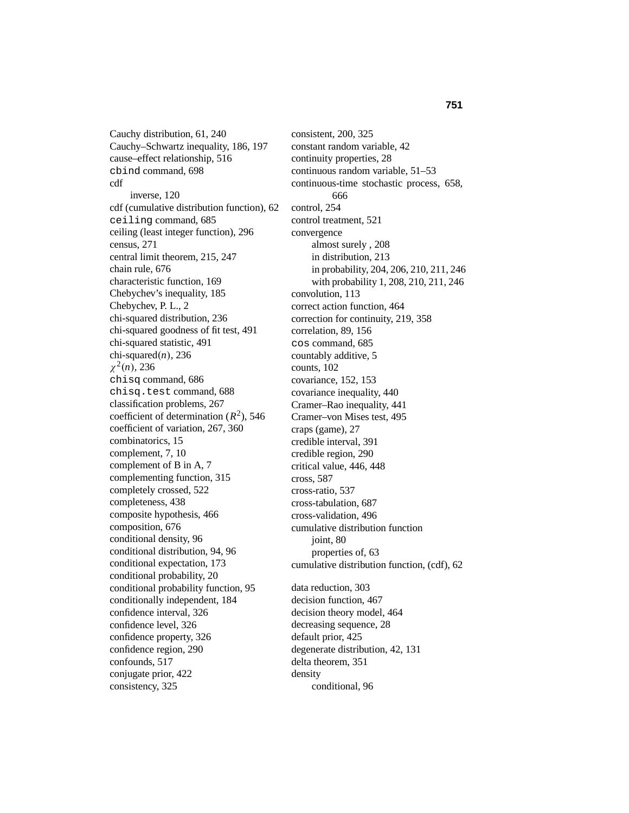Cauchy distribution, 61, 240 Cauchy–Schwartz inequality, 186, 197 cause–effect relationship, 516 cbind command, 698 cdf inverse, 120 cdf (cumulative distribution function), 62 ceiling command, 685 ceiling (least integer function), 296 census, 271 central limit theorem, 215, 247 chain rule, 676 characteristic function, 169 Chebychev's inequality, 185 Chebychev, P. L., 2 chi-squared distribution, 236 chi-squared goodness of fit test, 491 chi-squared statistic, 491 chi-squared $(n)$ , 236  $\chi^2(n)$ , 236 chisq command, 686 chisq.test command, 688 classification problems, 267 coefficient of determination  $(R^2)$ , 546 coefficient of variation, 267, 360 combinatorics, 15 complement, 7, 10 complement of B in A, 7 complementing function, 315 completely crossed, 522 completeness, 438 composite hypothesis, 466 composition, 676 conditional density, 96 conditional distribution, 94, 96 conditional expectation, 173 conditional probability, 20 conditional probability function, 95 conditionally independent, 184 confidence interval, 326 confidence level, 326 confidence property, 326 confidence region, 290 confounds, 517 conjugate prior, 422 consistency, 325

consistent, 200, 325 constant random variable, 42 continuity properties, 28 continuous random variable, 51–53 continuous-time stochastic process, 658, 666 control, 254 control treatment, 521 convergence almost surely , 208 in distribution, 213 in probability, 204, 206, 210, 211, 246 with probability 1, 208, 210, 211, 246 convolution, 113 correct action function, 464 correction for continuity, 219, 358 correlation, 89, 156 cos command, 685 countably additive, 5 counts, 102 covariance, 152, 153 covariance inequality, 440 Cramer–Rao inequality, 441 Cramer–von Mises test, 495 craps (game), 27 credible interval, 391 credible region, 290 critical value, 446, 448 cross, 587 cross-ratio, 537 cross-tabulation, 687 cross-validation, 496 cumulative distribution function joint, 80 properties of, 63 cumulative distribution function, (cdf), 62 data reduction, 303 decision function, 467 decision theory model, 464 decreasing sequence, 28 default prior, 425 degenerate distribution, 42, 131 delta theorem, 351 density

conditional, 96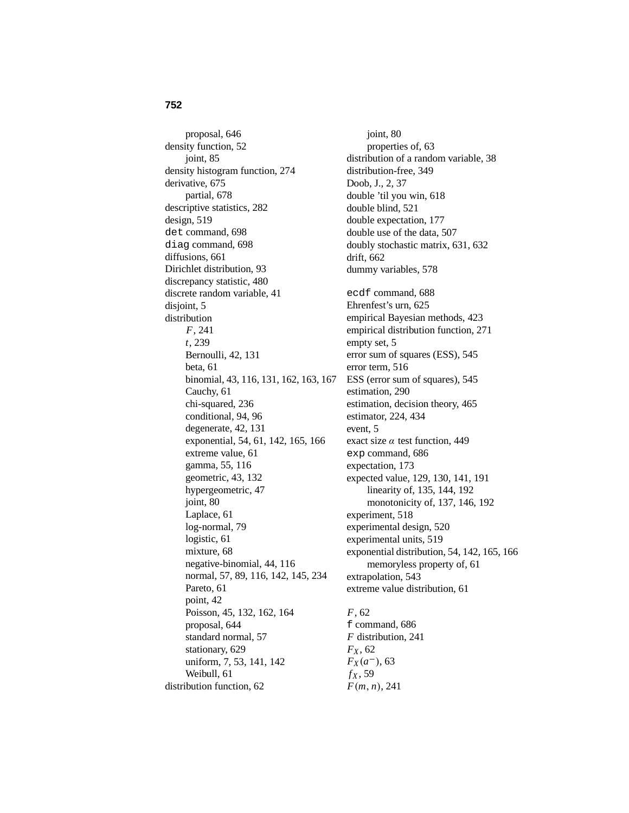### **752**

proposal, 646 density function, 52 joint, 85 density histogram function, 274 derivative, 675 partial, 678 descriptive statistics, 282 design, 519 det command, 698 diag command, 698 diffusions, 661 Dirichlet distribution, 93 discrepancy statistic, 480 discrete random variable, 41 disjoint, 5 distribution *F*, 241 *t*, 239 Bernoulli, 42, 131 beta, 61 binomial, 43, 116, 131, 162, 163, 167 Cauchy, 61 chi-squared, 236 conditional, 94, 96 degenerate, 42, 131 exponential, 54, 61, 142, 165, 166 extreme value, 61 gamma, 55, 116 geometric, 43, 132 hypergeometric, 47 joint, 80 Laplace, 61 log-normal, 79 logistic, 61 mixture, 68 negative-binomial, 44, 116 normal, 57, 89, 116, 142, 145, 234 Pareto, 61 point, 42 Poisson, 45, 132, 162, 164 proposal, 644 standard normal, 57 stationary, 629 uniform, 7, 53, 141, 142 Weibull, 61 distribution function, 62

joint, 80 properties of, 63 distribution of a random variable, 38 distribution-free, 349 Doob, J., 2, 37 double 'til you win, 618 double blind, 521 double expectation, 177 double use of the data, 507 doubly stochastic matrix, 631, 632 drift, 662 dummy variables, 578 ecdf command, 688 Ehrenfest's urn, 625 empirical Bayesian methods, 423 empirical distribution function, 271 empty set, 5 error sum of squares (ESS), 545 error term, 516 ESS (error sum of squares), 545 estimation, 290 estimation, decision theory, 465 estimator, 224, 434 event, 5 exact size  $\alpha$  test function, 449 exp command, 686 expectation, 173 expected value, 129, 130, 141, 191 linearity of, 135, 144, 192 monotonicity of, 137, 146, 192 experiment, 518 experimental design, 520 experimental units, 519 exponential distribution, 54, 142, 165, 166 memoryless property of, 61 extrapolation, 543 extreme value distribution, 61

#### *F*, 62

f command, 686 *F* distribution, 241 *FX* , 62  $F_X(a^-)$ , 63  $f_X$ , 59 *F*(*m*, *n*), 241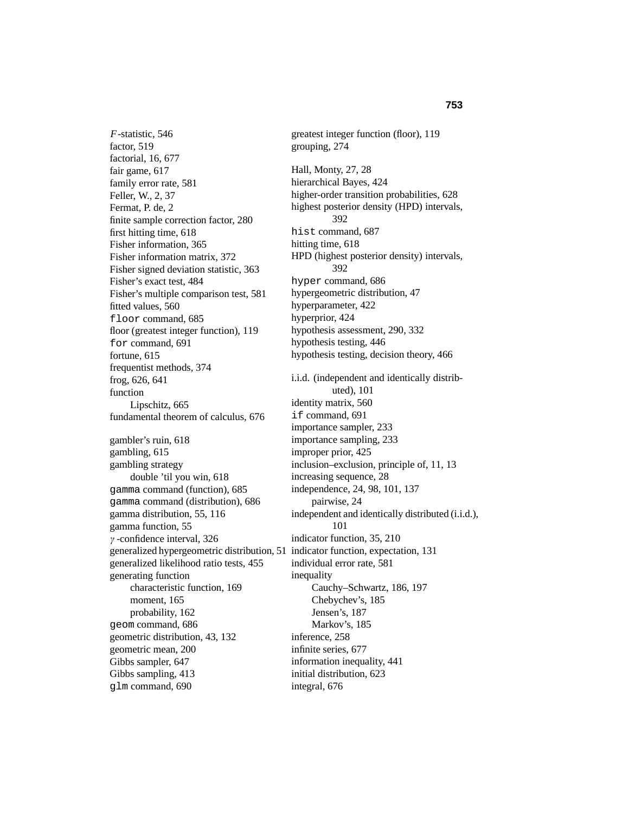*F*-statistic, 546 factor, 519 factorial, 16, 677 fair game, 617 family error rate, 581 Feller, W., 2, 37 Fermat, P. de, 2 finite sample correction factor, 280 first hitting time, 618 Fisher information, 365 Fisher information matrix, 372 Fisher signed deviation statistic, 363 Fisher's exact test, 484 Fisher's multiple comparison test, 581 fitted values, 560 floor command, 685 floor (greatest integer function), 119 for command, 691 fortune, 615 frequentist methods, 374 frog, 626, 641 function Lipschitz, 665 fundamental theorem of calculus, 676 gambler's ruin, 618 gambling, 615 gambling strategy double 'til you win, 618 gamma command (function), 685 gamma command (distribution), 686 gamma distribution, 55, 116 gamma function, 55 γ -confidence interval, 326 generalized hypergeometric distribution, 51 indicator function, expectation, 131 generalized likelihood ratio tests, 455 generating function characteristic function, 169 moment, 165 probability, 162 geom command, 686 geometric distribution, 43, 132 geometric mean, 200 Gibbs sampler, 647 Gibbs sampling, 413 glm command, 690

greatest integer function (floor), 119 grouping, 274 Hall, Monty, 27, 28 hierarchical Bayes, 424 higher-order transition probabilities, 628 highest posterior density (HPD) intervals, 392 hist command, 687 hitting time, 618 HPD (highest posterior density) intervals, 392 hyper command, 686 hypergeometric distribution, 47 hyperparameter, 422 hyperprior, 424 hypothesis assessment, 290, 332 hypothesis testing, 446 hypothesis testing, decision theory, 466 i.i.d. (independent and identically distributed), 101 identity matrix, 560 if command, 691 importance sampler, 233 importance sampling, 233 improper prior, 425 inclusion–exclusion, principle of, 11, 13 increasing sequence, 28 independence, 24, 98, 101, 137 pairwise, 24 independent and identically distributed (i.i.d.), 101 indicator function, 35, 210 individual error rate, 581 inequality Cauchy–Schwartz, 186, 197 Chebychev's, 185 Jensen's, 187 Markov's, 185 inference, 258 infinite series, 677 information inequality, 441 initial distribution, 623 integral, 676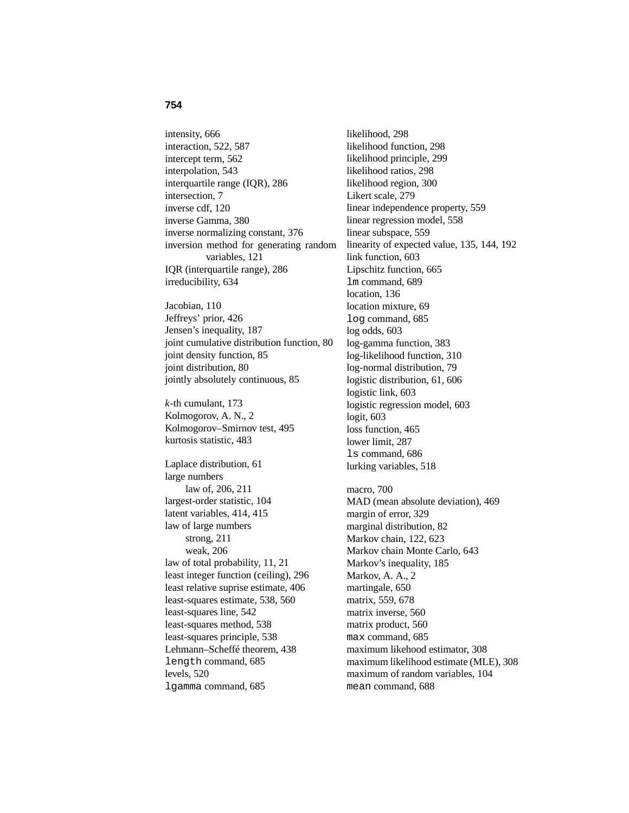#### **754**

intensity, 666 interaction, 522, 587 intercept term, 562 interpolation, 543 interquartile range (IQR), 286 intersection, 7 inverse cdf, 120 inverse Gamma, 380 inverse normalizing constant, 376 inversion method for generating random variables, 121 IQR (interquartile range), 286 irreducibility, 634

Jacobian, 110 Jeffreys' prior, 426 Jensen's inequality, 187 joint cumulative distribution function, 80 joint density function, 85 joint distribution, 80 jointly absolutely continuous, 85

*k*-th cumulant, 173 Kolmogorov, A. N., 2 Kolmogorov–Smirnov test, 495 kurtosis statistic, 483

Laplace distribution, 61 large numbers law of, 206, 211 largest-order statistic, 104 latent variables, 414, 415 law of large numbers strong, 211 weak, 206 law of total probability, 11, 21 least integer function (ceiling), 296 least relative suprise estimate, 406 least-squares estimate, 538, 560 least-squares line, 542 least-squares method, 538 least-squares principle, 538 Lehmann–Scheffé theorem, 438 length command, 685 levels, 520 lgamma command, 685

likelihood, 298 likelihood function, 298 likelihood principle, 299 likelihood ratios, 298 likelihood region, 300 Likert scale, 279 linear independence property, 559 linear regression model, 558 linear subspace, 559 linearity of expected value, 135, 144, 192 link function, 603 Lipschitz function, 665 lm command, 689 location, 136 location mixture, 69 log command, 685 log odds, 603 log-gamma function, 383 log-likelihood function, 310 log-normal distribution, 79 logistic distribution, 61, 606 logistic link, 603 logistic regression model, 603 logit, 603 loss function, 465 lower limit, 287 ls command, 686 lurking variables, 518 macro, 700 MAD (mean absolute deviation), 469 margin of error, 329 marginal distribution, 82 Markov chain, 122, 623 Markov chain Monte Carlo, 643 Markov's inequality, 185 Markov, A. A., 2 martingale, 650 matrix, 559, 678 matrix inverse, 560 matrix product, 560 max command, 685 maximum likehood estimator, 308 maximum likelihood estimate (MLE), 308 maximum of random variables, 104 mean command, 688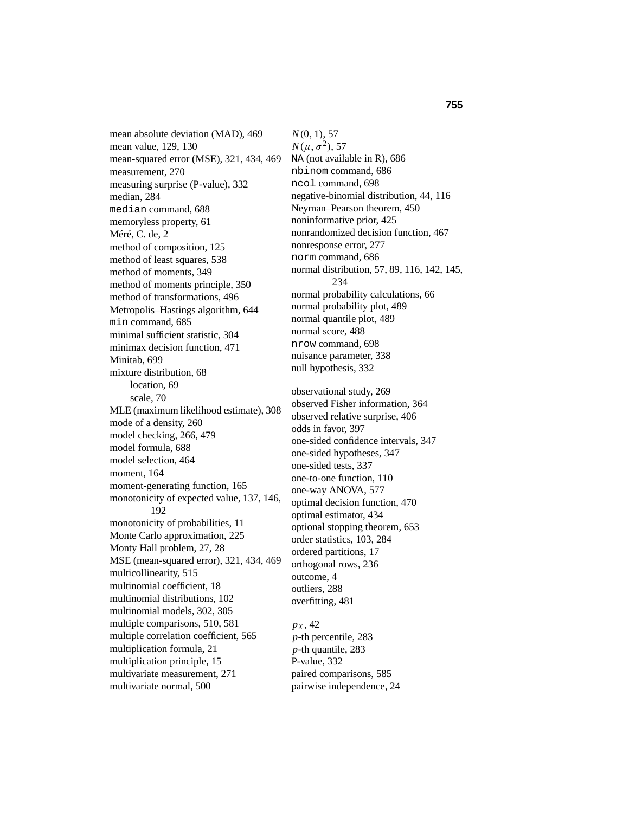mean absolute deviation (MAD), 469 mean value, 129, 130 mean-squared error (MSE), 321, 434, 469 measurement, 270 measuring surprise (P-value), 332 median, 284 median command, 688 memoryless property, 61 Méré, C. de, 2 method of composition, 125 method of least squares, 538 method of moments, 349 method of moments principle, 350 method of transformations, 496 Metropolis–Hastings algorithm, 644 min command, 685 minimal sufficient statistic, 304 minimax decision function, 471 Minitab, 699 mixture distribution, 68 location, 69 scale, 70 MLE (maximum likelihood estimate), 308 mode of a density, 260 model checking, 266, 479 model formula, 688 model selection, 464 moment, 164 moment-generating function, 165 monotonicity of expected value, 137, 146, 192 monotonicity of probabilities, 11 Monte Carlo approximation, 225 Monty Hall problem, 27, 28 MSE (mean-squared error), 321, 434, 469 multicollinearity, 515 multinomial coefficient, 18 multinomial distributions, 102 multinomial models, 302, 305 multiple comparisons, 510, 581 multiple correlation coefficient, 565 multiplication formula, 21 multiplication principle, 15 multivariate measurement, 271 multivariate normal, 500

*N*(0, 1), 57  $N(\mu, \sigma^2)$ , 57 NA (not available in R), 686 nbinom command, 686 ncol command, 698 negative-binomial distribution, 44, 116 Neyman–Pearson theorem, 450 noninformative prior, 425 nonrandomized decision function, 467 nonresponse error, 277 norm command, 686 normal distribution, 57, 89, 116, 142, 145, 234 normal probability calculations, 66 normal probability plot, 489 normal quantile plot, 489 normal score, 488 nrow command, 698 nuisance parameter, 338 null hypothesis, 332 observational study, 269 observed Fisher information, 364 observed relative surprise, 406 odds in favor, 397 one-sided confidence intervals, 347 one-sided hypotheses, 347 one-sided tests, 337 one-to-one function, 110 one-way ANOVA, 577 optimal decision function, 470 optimal estimator, 434 optional stopping theorem, 653 order statistics, 103, 284 ordered partitions, 17 orthogonal rows, 236 outcome, 4 outliers, 288 overfitting, 481  $p_X$ , 42 *p*-th percentile, 283 *p*-th quantile, 283 P-value, 332

paired comparisons, 585 pairwise independence, 24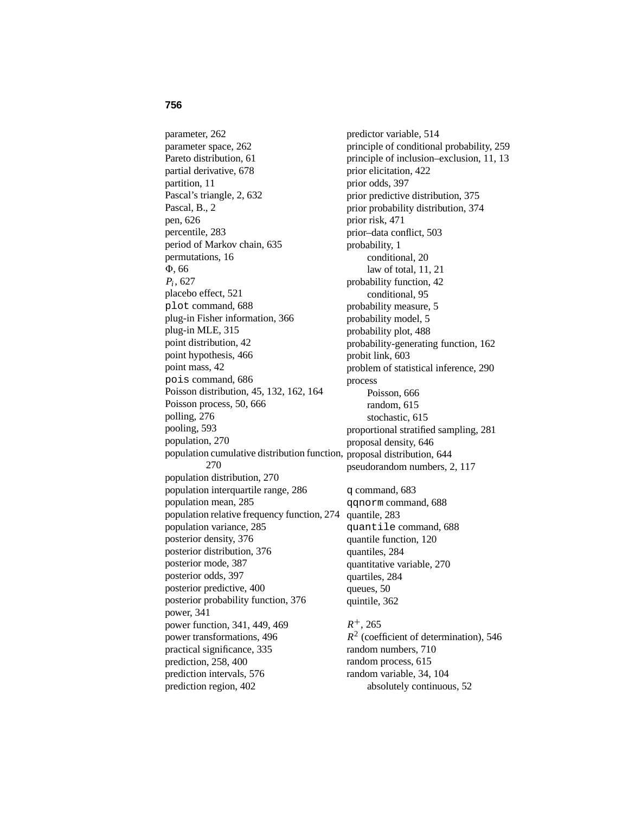#### **756**

parameter, 262 parameter space, 262 Pareto distribution, 61 partial derivative, 678 partition, 11 Pascal's triangle, 2, 632 Pascal, B., 2 pen, 626 percentile, 283 period of Markov chain, 635 permutations, 16 4, 66 *Pi* , 627 placebo effect, 521 plot command, 688 plug-in Fisher information, 366 plug-in MLE, 315 point distribution, 42 point hypothesis, 466 point mass, 42 pois command, 686 Poisson distribution, 45, 132, 162, 164 Poisson process, 50, 666 polling, 276 pooling, 593 population, 270 population cumulative distribution function, proposal distribution, 644 270 population distribution, 270 population interquartile range, 286 population mean, 285 population relative frequency function, 274 population variance, 285 posterior density, 376 posterior distribution, 376 posterior mode, 387 posterior odds, 397 posterior predictive, 400 posterior probability function, 376 power, 341 power function, 341, 449, 469 power transformations, 496 practical significance, 335 prediction, 258, 400 prediction intervals, 576 prediction region, 402

predictor variable, 514 principle of conditional probability, 259 principle of inclusion–exclusion, 11, 13 prior elicitation, 422 prior odds, 397 prior predictive distribution, 375 prior probability distribution, 374 prior risk, 471 prior–data conflict, 503 probability, 1 conditional, 20 law of total, 11, 21 probability function, 42 conditional, 95 probability measure, 5 probability model, 5 probability plot, 488 probability-generating function, 162 probit link, 603 problem of statistical inference, 290 process Poisson, 666 random, 615 stochastic, 615 proportional stratified sampling, 281 proposal density, 646 pseudorandom numbers, 2, 117 q command, 683 qqnorm command, 688 quantile, 283 quantile command, 688 quantile function, 120 quantiles, 284 quantitative variable, 270 quartiles, 284 queues, 50 quintile, 362 *R*+, 265 *R*<sup>2</sup> (coefficient of determination), 546 random numbers, 710 random process, 615 random variable, 34, 104

## absolutely continuous, 52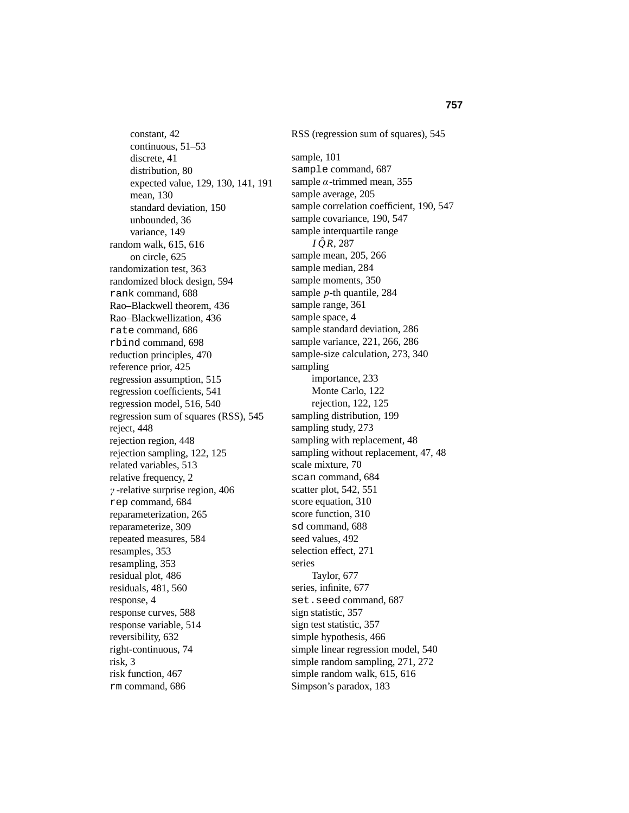constant, 42 continuous, 51–53 discrete, 41 distribution, 80 expected value, 129, 130, 141, 191 mean, 130 standard deviation, 150 unbounded, 36 variance, 149 random walk, 615, 616 on circle, 625 randomization test, 363 randomized block design, 594 rank command, 688 Rao–Blackwell theorem, 436 Rao–Blackwellization, 436 rate command, 686 rbind command, 698 reduction principles, 470 reference prior, 425 regression assumption, 515 regression coefficients, 541 regression model, 516, 540 regression sum of squares (RSS), 545 reject, 448 rejection region, 448 rejection sampling, 122, 125 related variables, 513 relative frequency, 2 γ -relative surprise region, 406 rep command, 684 reparameterization, 265 reparameterize, 309 repeated measures, 584 resamples, 353 resampling, 353 residual plot, 486 residuals, 481, 560 response, 4 response curves, 588 response variable, 514 reversibility, 632 right-continuous, 74 risk, 3 risk function, 467 rm command, 686

RSS (regression sum of squares), 545 sample, 101 sample command, 687 sample  $\alpha$ -trimmed mean, 355 sample average, 205 sample correlation coefficient, 190, 547 sample covariance, 190, 547 sample interquartile range  $IQR$ , 287 sample mean, 205, 266 sample median, 284 sample moments, 350 sample *p*-th quantile, 284 sample range, 361 sample space, 4 sample standard deviation, 286 sample variance, 221, 266, 286 sample-size calculation, 273, 340 sampling importance, 233 Monte Carlo, 122 rejection, 122, 125 sampling distribution, 199 sampling study, 273 sampling with replacement, 48 sampling without replacement, 47, 48 scale mixture, 70 scan command, 684 scatter plot, 542, 551 score equation, 310 score function, 310 sd command, 688 seed values, 492 selection effect, 271 series Taylor, 677 series, infinite, 677 set.seed command, 687 sign statistic, 357 sign test statistic, 357 simple hypothesis, 466 simple linear regression model, 540 simple random sampling, 271, 272 simple random walk, 615, 616 Simpson's paradox, 183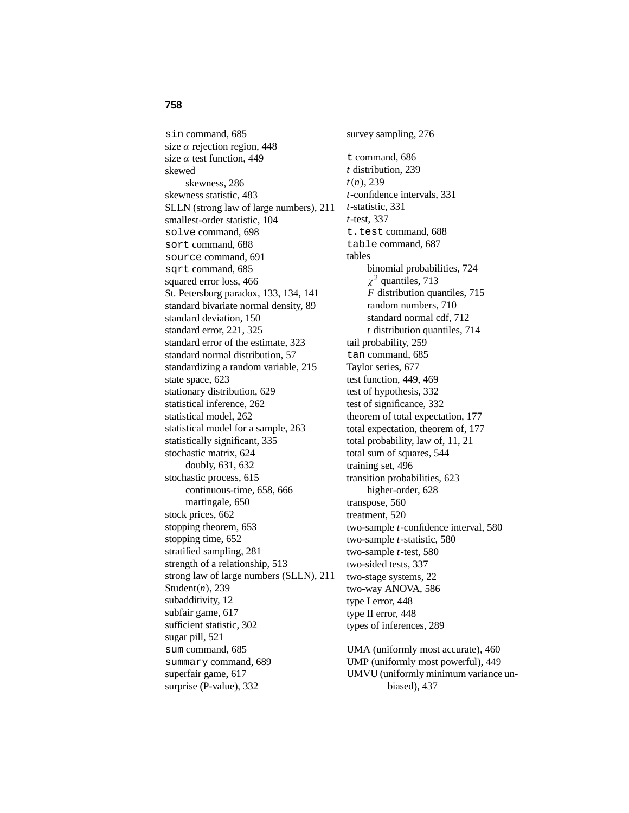sin command, 685 size  $\alpha$  rejection region, 448 size  $\alpha$  test function, 449 skewed skewness, 286 skewness statistic, 483 SLLN (strong law of large numbers), 211 smallest-order statistic, 104 solve command, 698 sort command, 688 source command, 691 sqrt command, 685 squared error loss, 466 St. Petersburg paradox, 133, 134, 141 standard bivariate normal density, 89 standard deviation, 150 standard error, 221, 325 standard error of the estimate, 323 standard normal distribution, 57 standardizing a random variable, 215 state space, 623 stationary distribution, 629 statistical inference, 262 statistical model, 262 statistical model for a sample, 263 statistically significant, 335 stochastic matrix, 624 doubly, 631, 632 stochastic process, 615 continuous-time, 658, 666 martingale, 650 stock prices, 662 stopping theorem, 653 stopping time, 652 stratified sampling, 281 strength of a relationship, 513 strong law of large numbers (SLLN), 211 Student(*n*), 239 subadditivity, 12 subfair game, 617 sufficient statistic, 302 sugar pill, 521 sum command, 685 summary command, 689

superfair game, 617 surprise (P-value), 332 survey sampling, 276 t command, 686 *t* distribution, 239 *t*(*n*), 239 *t*-confidence intervals, 331 *t*-statistic, 331 *t*-test, 337 t.test command, 688 table command, 687 tables binomial probabilities, 724  $\chi^2$  quantiles, 713 *F* distribution quantiles, 715 random numbers, 710 standard normal cdf, 712 *t* distribution quantiles, 714 tail probability, 259 tan command, 685 Taylor series, 677 test function, 449, 469 test of hypothesis, 332 test of significance, 332 theorem of total expectation, 177 total expectation, theorem of, 177 total probability, law of, 11, 21 total sum of squares, 544 training set, 496 transition probabilities, 623 higher-order, 628 transpose, 560 treatment, 520 two-sample *t*-confidence interval, 580 two-sample *t*-statistic, 580 two-sample *t*-test, 580 two-sided tests, 337 two-stage systems, 22 two-way ANOVA, 586 type I error, 448 type II error, 448 types of inferences, 289

UMA (uniformly most accurate), 460 UMP (uniformly most powerful), 449 UMVU (uniformly minimum variance unbiased), 437